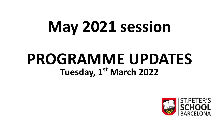# **May 2021 session**

# **PROGRAMME UPDATES Tuesday, 1st March 2022**

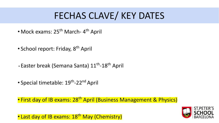### **FECHAS CLAVE/ KEY DATES**

- Mock exams: 25<sup>th</sup> March- 4<sup>th</sup> April
- School report: Friday, 8<sup>th</sup> April
- Easter break (Semana Santa) 11<sup>th</sup>-18<sup>th</sup> April
- Special timetable: 19<sup>th</sup>-22<sup>nd</sup> April

• First day of IB exams: 28<sup>th</sup> April (Business Management & Physics)

• Last day of IB exams: 18<sup>th</sup> May (Chemistry)

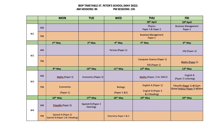#### **IBDP TIMETABLE ST. PETER'S SCHOOL (MAY 2022)** PM SESSIONS: 13h AM SESSIONS: 9h

|                |    | <b>MON</b>                                             | <b>TUE</b>                       | <b>WED</b>                       | <b>THU</b>                                                | <b>FRI</b>                                                  |
|----------------|----|--------------------------------------------------------|----------------------------------|----------------------------------|-----------------------------------------------------------|-------------------------------------------------------------|
|                |    |                                                        |                                  |                                  | 28 <sup>th</sup> April                                    | 29th April                                                  |
| W1             | AM |                                                        |                                  |                                  | <b>Physics</b><br>Paper 1 & Paper 2                       | <b>Business Management</b><br>Paper 2                       |
|                | PM |                                                        |                                  |                                  | <b>Business Management</b><br>Paper 1                     |                                                             |
|                |    | $2nd$ May                                              | 3rd May                          | 4 <sup>th</sup> May              | 5 <sup>th</sup> May                                       | 6 <sup>th</sup> May                                         |
| W <sub>2</sub> | AM |                                                        |                                  | Persian (Paper 1)                |                                                           | ESS (Paper 2)                                               |
|                | PM |                                                        |                                  |                                  | <b>Computer Science (Paper 1)</b><br>ESS (Paper 1)        | Maths (Paper 1)                                             |
|                |    | 9 <sup>th</sup> May                                    | 10 <sup>th</sup> May             | 11 <sup>th</sup> May             | 12th May                                                  | 13th May                                                    |
| W <sub>3</sub> | AM | <b>Maths (Paper 2)</b>                                 | Economics (Paper 2)              |                                  | Maths (Paper, 3 HL ONLY)                                  | English B<br>(Paper 2 Listening)                            |
|                | PM | <b>Economics</b><br>(Paper 1)                          |                                  | <b>Biology</b><br>(Paper 1 & 2)  | English A (Paper 1)<br>English B (Paper 1<br>& 2 Reading) | Filosofía (Paper 1) @12pm<br>Global Politics (Paper 2) @3pm |
|                |    | 16th May                                               | 17th May                         | 18th May                         | 19th May                                                  | 20th May                                                    |
| W4             | AM | Filosofía (Paper 2)                                    | Spanish B (Paper 2<br>listening) |                                  |                                                           |                                                             |
|                | PM | Spanish A (Paper 1)<br>Spanish B (Paper 1 & 2 Reading) |                                  | <b>Chemistry Paper 1 &amp; 2</b> |                                                           |                                                             |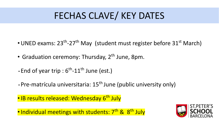### FECHAS CLAVE/ KEY DATES

- UNED exams:  $23^{th}$ -27<sup>th</sup> May (student must register before  $31^{st}$  March)
- Graduation ceremony: Thursday,  $2^{th}$  June, 8pm.
- $\cdot$  End of year trip :  $6^{\text{th}}$ -11<sup>th</sup> June (est.)
- $\cdot$  Pre-matrícula universitaria: 15<sup>th</sup> June (public university only)
- IB results released: Wednesday 6<sup>th</sup> July

• Individual meetings with students: 7<sup>th</sup> & 8<sup>th</sup> July

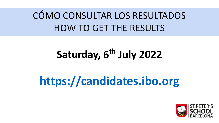## **CÓMO CONSULTAR LOS RESULTADOS** HOW TO GET THE RESULTS

# **Saturday, 6th July 2022**

# **<https://candidates.ibo.org>**

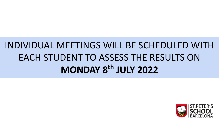## INDIVIDUAL MEETINGS WILL BE SCHEDULED WITH EACH STUDENT TO ASSESS THE RESULTS ON **MONDAY 8th JULY 2022**

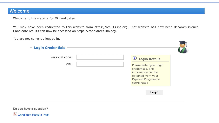#### Welcome

Welcome to the website for IB candidates.

You may have been redirected to this website from https://results.ibo.org. That website has now been decommissioned. Candidate results can now be accessed on https://candidates.ibo.org.

You are not currently logged in.

| <b>Login Credentials</b><br>Personal code: | <b>2</b> Login Details                                                                                                        |
|--------------------------------------------|-------------------------------------------------------------------------------------------------------------------------------|
| PIN:                                       | Please enter your login<br>credentials. This<br>information can be<br>obtained from your<br>Diploma Programme<br>coordinator. |
|                                            | Login                                                                                                                         |

Do you have a question? Candidate Results Pack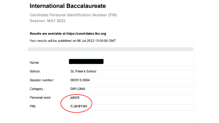#### **International Baccalaureate**

**Candidate Personal Identification Number (PIN)** Session: MAY 2022

Results are available at https://candidates.ibo.org

Your results will be published on 06-Jul-2022 13:00:00 GMT

| Name:           |                    |
|-----------------|--------------------|
| School:         | St. Peter's School |
| Session number: | 060513-0004        |
| Category:       | <b>DIPLOMA</b>     |
| Personal code:  | jqf428             |
| PIN:            | FL8H8YMA           |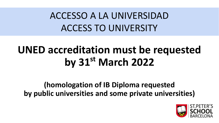### ACCESSO A LA UNIVERSIDAD ACCESS TO UNIVERSITY

# **UNED accreditation must be requested by 31st March 2022**

### **(homologation of IB Diploma requested by public universities and some private universities)**

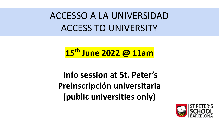### ACCESSO A LA UNIVERSIDAD ACCESS TO UNIVERSITY

### **15th June 2022 @ 11am**

 **Info session at St. Peter's Preinscripción universitaria (public universities only)**

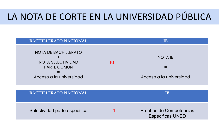### LA NOTA DE CORTE EN LA UNIVERSIDAD PÚBLICA

| <b>BACHILLERATO NACIONAL</b>                                                                             |    | ΙB                                        |
|----------------------------------------------------------------------------------------------------------|----|-------------------------------------------|
| <b>NOTA DE BACHILLERATO</b><br><b>NOTA SELECTIVIDAD</b><br><b>PARTE COMUN</b><br>Acceso a la universidad | 10 | <b>NOTA IB</b><br>Acceso a la universidad |

| <b>BACHILLERATO NACIONAL</b>  |   |                                                    |
|-------------------------------|---|----------------------------------------------------|
| Selectividad parte específica | 4 | Pruebas de Competencias<br><b>Especificas UNED</b> |